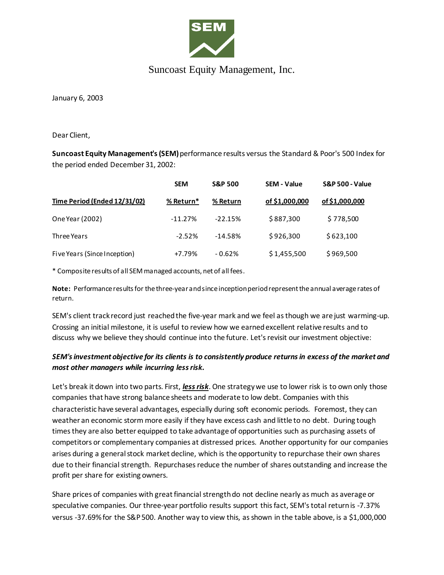

## Suncoast Equity Management, Inc.

January 6, 2003

Dear Client,

**Suncoast Equity Management's (SEM)** performance results versus the Standard & Poor's 500 Index for the period ended December 31, 2002:

|                              | <b>SEM</b> | <b>S&amp;P 500</b> | <b>SEM - Value</b> | <b>S&amp;P 500 - Value</b> |
|------------------------------|------------|--------------------|--------------------|----------------------------|
| Time Period (Ended 12/31/02) | % Return*  | % Return           | of \$1,000,000     | of \$1,000,000             |
| One Year (2002)              | $-11.27%$  | $-22.15%$          | \$887,300          | \$778,500                  |
| Three Years                  | $-2.52%$   | $-14.58%$          | \$926,300          | \$623,100                  |
| Five Years (Since Inception) | $+7.79%$   | $-0.62%$           | \$1,455,500        | \$969,500                  |

\* Composite results of all SEM managed accounts, net of all fees.

**Note:** Performance results for the three-year and since inception period represent the annual average rates of return.

SEM's client track record just reached the five-year mark and we feel as though we are just warming-up. Crossing an initial milestone, it is useful to review how we earned excellent relative results and to discuss why we believe they should continue into the future. Let's revisit our investment objective:

## *SEM's investment objective for its clients is to consistently produce returns in excess of the market and most other managers while incurring less risk.*

Let's break it down into two parts. First, *less risk*. One strategy we use to lower risk is to own only those companies that have strong balance sheets and moderate to low debt. Companies with this characteristic have several advantages, especially during soft economic periods. Foremost, they can weather an economic storm more easily if they have excess cash and little to no debt. During tough times they are also better equipped to take advantage of opportunities such as purchasing assets of competitors or complementary companies at distressed prices. Another opportunity for our companies arises during a general stock market decline, which is the opportunity to repurchase their own shares due to their financial strength. Repurchases reduce the number of shares outstanding and increase the profit per share for existing owners.

Share prices of companies with great financial strength do not decline nearly as much as average or speculative companies. Our three-year portfolio results support this fact, SEM's total return is -7.37% versus -37.69% for the S&P 500. Another way to view this, as shown in the table above, is a \$1,000,000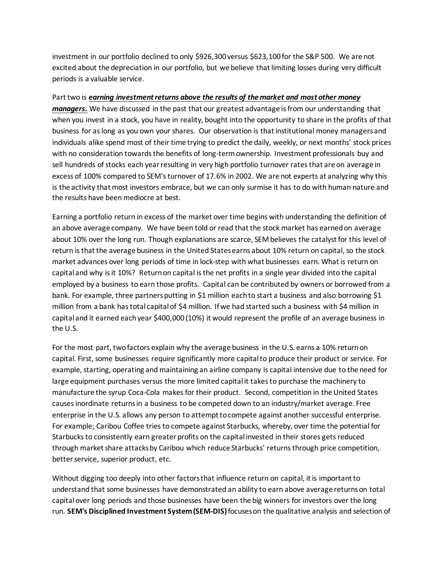investment in our portfolio declined to only \$926,300 versus \$623,100 for the S&P 500. We are not excited about the depreciation in our portfolio, but we believe that limiting losses during very difficult periods is a valuable service.

## Part two is *earning investment returns above the results of the market and most other money*

*managers.* We have discussed in the past that our greatest advantage is from our understanding that when you invest in a stock, you have in reality, bought into the opportunity to share in the profits of that business for as long as you own your shares. Our observation is that institutional money managers and individuals alike spend most of their time trying to predict the daily, weekly, or next months' stock prices with no consideration towards the benefits of long-termownership. Investment professionals buy and sell hundreds of stocks each year resulting in very high portfolio turnover rates that are on average in excess of 100% compared to SEM's turnover of 17.6% in 2002. We are not experts at analyzing why this is the activity that most investors embrace, but we can only surmise it has to do with human nature and the results have been mediocre at best.

Earning a portfolio return in excess of the market over time begins with understanding the definition of an above average company. We have been told or read that the stock market has earned on average about 10% over the long run. Though explanations are scarce, SEM believes the catalyst for this level of return is that the average business in the United States earns about 10% return on capital, so the stock market advances over long periods of time in lock-step with what businesses earn. What is return on capital and why is it 10%? Return on capital is the net profits in a single year divided into the capital employed by a business to earn those profits. Capital can be contributed by owners or borrowed from a bank. For example, three partners putting in \$1 million each to start a business and also borrowing \$1 million from a bank has total capital of \$4 million. If we had started such a business with \$4 million in capital and it earned each year \$400,000 (10%) it would represent the profile of an average business in the U.S.

For the most part, two factors explain why the average business in the U.S. earns a 10% returnon capital. First, some businesses require significantly more capital to produce their product or service. For example, starting, operating and maintaining an airline company is capital intensive due to the need for large equipment purchases versus the more limited capital it takes to purchase the machinery to manufacture the syrup Coca-Cola makes for their product. Second, competition in the United States causes inordinate returns in a business to be competed down to an industry/market average. Free enterprise in the U.S. allows any person to attempt to compete against another successful enterprise. For example; Caribou Coffee tries to compete against Starbucks, whereby, over time the potential for Starbucks to consistently earn greater profits on the capital invested in their stores gets reduced through market share attacks by Caribou which reduce Starbucks' returns through price competition, better service, superior product, etc.

Without digging too deeply into other factors that influence return on capital, it is important to understand that some businesses have demonstrated an ability to earn above average returns on total capital over long periods and those businesses have been the big winners for investors over the long run. **SEM's Disciplined Investment System (SEM-DIS)**focuses on the qualitative analysis and selection of